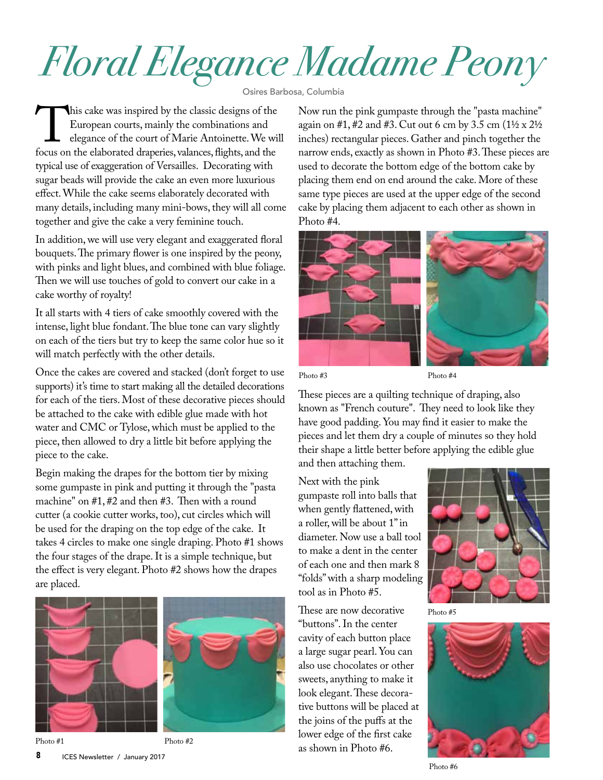## *Floral Elegance Madame Peony*

Osires Barbosa, Columbia

This cake was inspired by the classic designs of the European courts, mainly the combinations and elegance of the court of Marie Antoinette. We will focus on the elaborated draperies, valances, flights, and the European courts, mainly the combinations and elegance of the court of Marie Antoinette. We will typical use of exaggeration of Versailles. Decorating with sugar beads will provide the cake an even more luxurious effect. While the cake seems elaborately decorated with many details, including many mini-bows, they will all come together and give the cake a very feminine touch.

In addition, we will use very elegant and exaggerated floral bouquets. The primary flower is one inspired by the peony, with pinks and light blues, and combined with blue foliage. Then we will use touches of gold to convert our cake in a cake worthy of royalty!

It all starts with 4 tiers of cake smoothly covered with the intense, light blue fondant. The blue tone can vary slightly on each of the tiers but try to keep the same color hue so it will match perfectly with the other details.

Once the cakes are covered and stacked (don't forget to use supports) it's time to start making all the detailed decorations for each of the tiers. Most of these decorative pieces should be attached to the cake with edible glue made with hot water and CMC or Tylose, which must be applied to the piece, then allowed to dry a little bit before applying the piece to the cake.

Begin making the drapes for the bottom tier by mixing some gumpaste in pink and putting it through the "pasta machine" on #1, #2 and then #3. Then with a round cutter (a cookie cutter works, too), cut circles which will be used for the draping on the top edge of the cake. It takes 4 circles to make one single draping. Photo #1 shows the four stages of the drape. It is a simple technique, but the effect is very elegant. Photo #2 shows how the drapes are placed.



Photo #2

Now run the pink gumpaste through the "pasta machine" again on #1, #2 and #3. Cut out 6 cm by 3.5 cm  $(1\frac{1}{2} \times 2\frac{1}{2})$ inches) rectangular pieces. Gather and pinch together the narrow ends, exactly as shown in Photo #3. These pieces are used to decorate the bottom edge of the bottom cake by placing them end on end around the cake. More of these same type pieces are used at the upper edge of the second cake by placing them adjacent to each other as shown in Photo #4.



Photo #3

Photo #4

These pieces are a quilting technique of draping, also known as "French couture". They need to look like they have good padding. You may find it easier to make the pieces and let them dry a couple of minutes so they hold their shape a little better before applying the edible glue

and then attaching them.

Next with the pink gumpaste roll into balls that when gently flattened, with a roller, will be about 1" in diameter. Now use a ball tool to make a dent in the center of each one and then mark 8 "folds" with a sharp modeling tool as in Photo #5.

These are now decorative "buttons". In the center cavity of each button place a large sugar pearl. You can also use chocolates or other sweets, anything to make it look elegant. These decorative buttons will be placed at the joins of the puffs at the lower edge of the first cake Photo #1 Photo #2 as shown in Photo #6.







Photo #6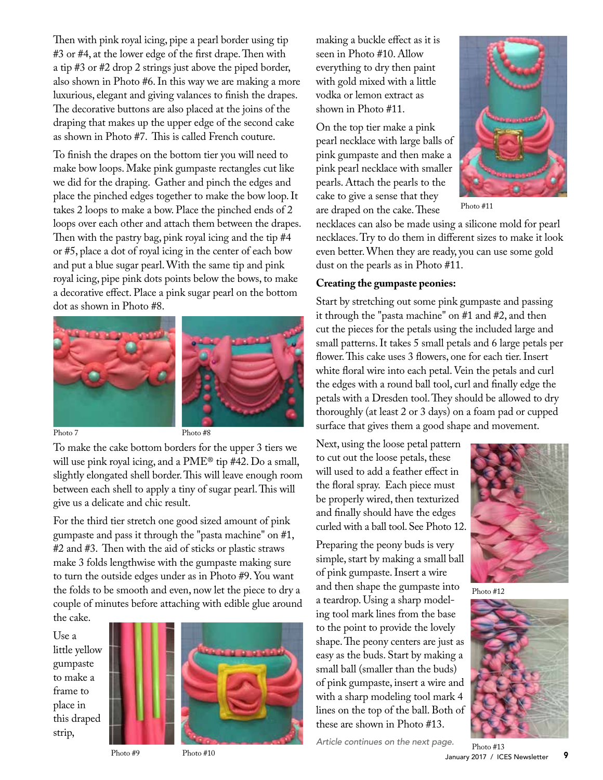Then with pink royal icing, pipe a pearl border using tip #3 or #4, at the lower edge of the first drape. Then with a tip #3 or #2 drop 2 strings just above the piped border, also shown in Photo #6. In this way we are making a more luxurious, elegant and giving valances to finish the drapes. The decorative buttons are also placed at the joins of the draping that makes up the upper edge of the second cake as shown in Photo #7. This is called French couture.

To finish the drapes on the bottom tier you will need to make bow loops. Make pink gumpaste rectangles cut like we did for the draping. Gather and pinch the edges and place the pinched edges together to make the bow loop. It takes 2 loops to make a bow. Place the pinched ends of 2 loops over each other and attach them between the drapes. Then with the pastry bag, pink royal icing and the tip #4 or #5, place a dot of royal icing in the center of each bow and put a blue sugar pearl. With the same tip and pink royal icing, pipe pink dots points below the bows, to make a decorative effect. Place a pink sugar pearl on the bottom dot as shown in Photo #8.



To make the cake bottom borders for the upper 3 tiers we will use pink royal icing, and a PME<sup>®</sup> tip #42. Do a small, slightly elongated shell border. This will leave enough room between each shell to apply a tiny of sugar pearl. This will give us a delicate and chic result.

For the third tier stretch one good sized amount of pink gumpaste and pass it through the "pasta machine" on #1, #2 and #3. Then with the aid of sticks or plastic straws make 3 folds lengthwise with the gumpaste making sure to turn the outside edges under as in Photo #9. You want the folds to be smooth and even, now let the piece to dry a couple of minutes before attaching with edible glue around the cake.

Use a little yellow gumpaste to make a frame to place in this draped strip,



making a buckle effect as it is seen in Photo #10. Allow everything to dry then paint with gold mixed with a little vodka or lemon extract as shown in Photo #11.

On the top tier make a pink pearl necklace with large balls of pink gumpaste and then make a pink pearl necklace with smaller pearls. Attach the pearls to the cake to give a sense that they are draped on the cake. These



Photo #11

necklaces can also be made using a silicone mold for pearl necklaces. Try to do them in different sizes to make it look even better. When they are ready, you can use some gold dust on the pearls as in Photo #11.

## **Creating the gumpaste peonies:**

Start by stretching out some pink gumpaste and passing it through the "pasta machine" on #1 and #2, and then cut the pieces for the petals using the included large and small patterns. It takes 5 small petals and 6 large petals per flower. This cake uses 3 flowers, one for each tier. Insert white floral wire into each petal. Vein the petals and curl the edges with a round ball tool, curl and finally edge the petals with a Dresden tool. They should be allowed to dry thoroughly (at least 2 or 3 days) on a foam pad or cupped surface that gives them a good shape and movement.

Next, using the loose petal pattern to cut out the loose petals, these will used to add a feather effect in the floral spray. Each piece must be properly wired, then texturized and finally should have the edges curled with a ball tool. See Photo 12.

Preparing the peony buds is very simple, start by making a small ball of pink gumpaste. Insert a wire and then shape the gumpaste into a teardrop. Using a sharp modeling tool mark lines from the base to the point to provide the lovely shape. The peony centers are just as easy as the buds. Start by making a small ball (smaller than the buds) of pink gumpaste, insert a wire and with a sharp modeling tool mark 4 lines on the top of the ball. Both of these are shown in Photo #13.





Photo #12



Photo #9 Photo #10

January 2017 / ICES Newsletter 9 Photo #13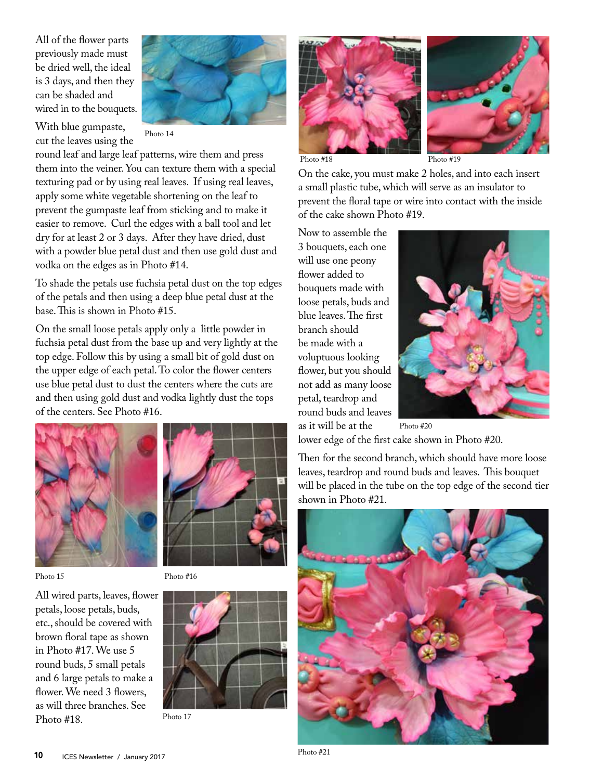All of the flower parts previously made must be dried well, the ideal is 3 days, and then they can be shaded and wired in to the bouquets.

With blue gumpaste, cut the leaves using the



Photo 14

round leaf and large leaf patterns, wire them and press them into the veiner. You can texture them with a special texturing pad or by using real leaves. If using real leaves, apply some white vegetable shortening on the leaf to prevent the gumpaste leaf from sticking and to make it easier to remove. Curl the edges with a ball tool and let dry for at least 2 or 3 days. After they have dried, dust with a powder blue petal dust and then use gold dust and vodka on the edges as in Photo #14.

To shade the petals use fuchsia petal dust on the top edges of the petals and then using a deep blue petal dust at the base. This is shown in Photo #15.

On the small loose petals apply only a little powder in fuchsia petal dust from the base up and very lightly at the top edge. Follow this by using a small bit of gold dust on the upper edge of each petal. To color the flower centers use blue petal dust to dust the centers where the cuts are and then using gold dust and vodka lightly dust the tops of the centers. See Photo #16.





Photo 15

Photo #16

All wired parts, leaves, flower petals, loose petals, buds, etc., should be covered with brown floral tape as shown in Photo #17. We use 5 round buds, 5 small petals and 6 large petals to make a flower. We need 3 flowers, as will three branches. See Photo #18.



Photo 17





Photo #18 Photo #19

On the cake, you must make 2 holes, and into each insert a small plastic tube, which will serve as an insulator to prevent the floral tape or wire into contact with the inside of the cake shown Photo #19.

Now to assemble the 3 bouquets, each one will use one peony flower added to bouquets made with loose petals, buds and blue leaves. The first branch should be made with a voluptuous looking flower, but you should not add as many loose petal, teardrop and round buds and leaves as it will be at the



lower edge of the first cake shown in Photo #20.

Then for the second branch, which should have more loose leaves, teardrop and round buds and leaves. This bouquet will be placed in the tube on the top edge of the second tier shown in Photo #21.